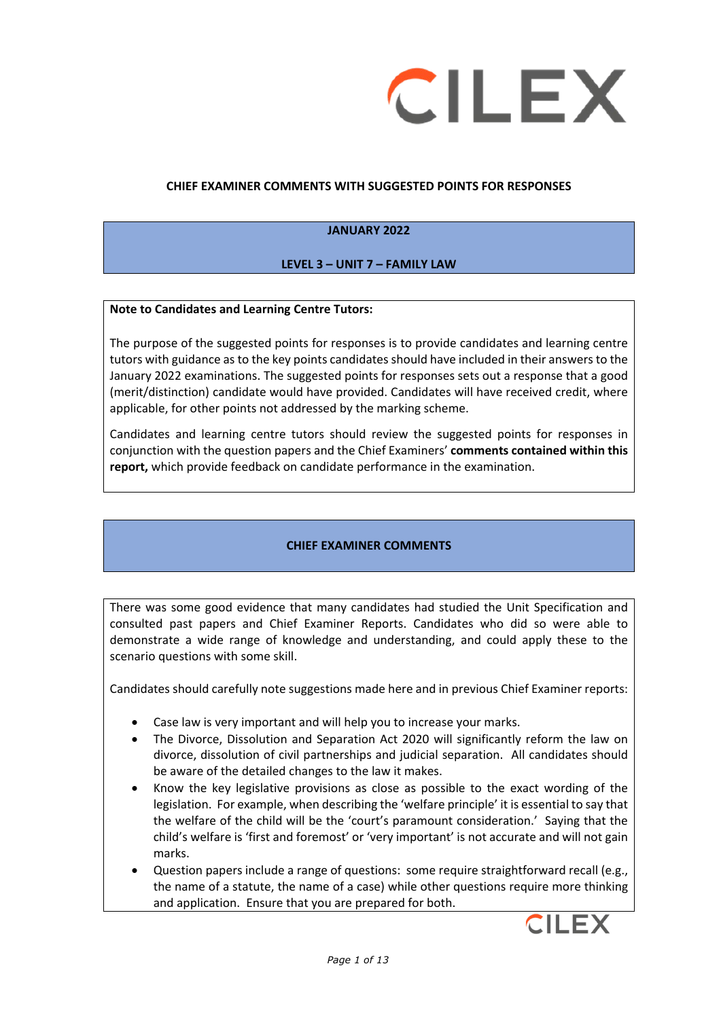

#### **CHIEF EXAMINER COMMENTS WITH SUGGESTED POINTS FOR RESPONSES**

#### **JANUARY 2022**

### **LEVEL 3 – UNIT 7 – FAMILY LAW**

#### **Note to Candidates and Learning Centre Tutors:**

The purpose of the suggested points for responses is to provide candidates and learning centre tutors with guidance as to the key points candidates should have included in their answers to the January 2022 examinations. The suggested points for responses sets out a response that a good (merit/distinction) candidate would have provided. Candidates will have received credit, where applicable, for other points not addressed by the marking scheme.

Candidates and learning centre tutors should review the suggested points for responses in conjunction with the question papers and the Chief Examiners' **comments contained within this report,** which provide feedback on candidate performance in the examination.

### **CHIEF EXAMINER COMMENTS**

There was some good evidence that many candidates had studied the Unit Specification and consulted past papers and Chief Examiner Reports. Candidates who did so were able to demonstrate a wide range of knowledge and understanding, and could apply these to the scenario questions with some skill.

Candidates should carefully note suggestions made here and in previous Chief Examiner reports:

- Case law is very important and will help you to increase your marks.
- The Divorce, Dissolution and Separation Act 2020 will significantly reform the law on divorce, dissolution of civil partnerships and judicial separation. All candidates should be aware of the detailed changes to the law it makes.
- Know the key legislative provisions as close as possible to the exact wording of the legislation. For example, when describing the 'welfare principle' it is essential to say that the welfare of the child will be the 'court's paramount consideration.' Saying that the child's welfare is 'first and foremost' or 'very important' is not accurate and will not gain marks.
- Question papers include a range of questions: some require straightforward recall (e.g., the name of a statute, the name of a case) while other questions require more thinking and application. Ensure that you are prepared for both.

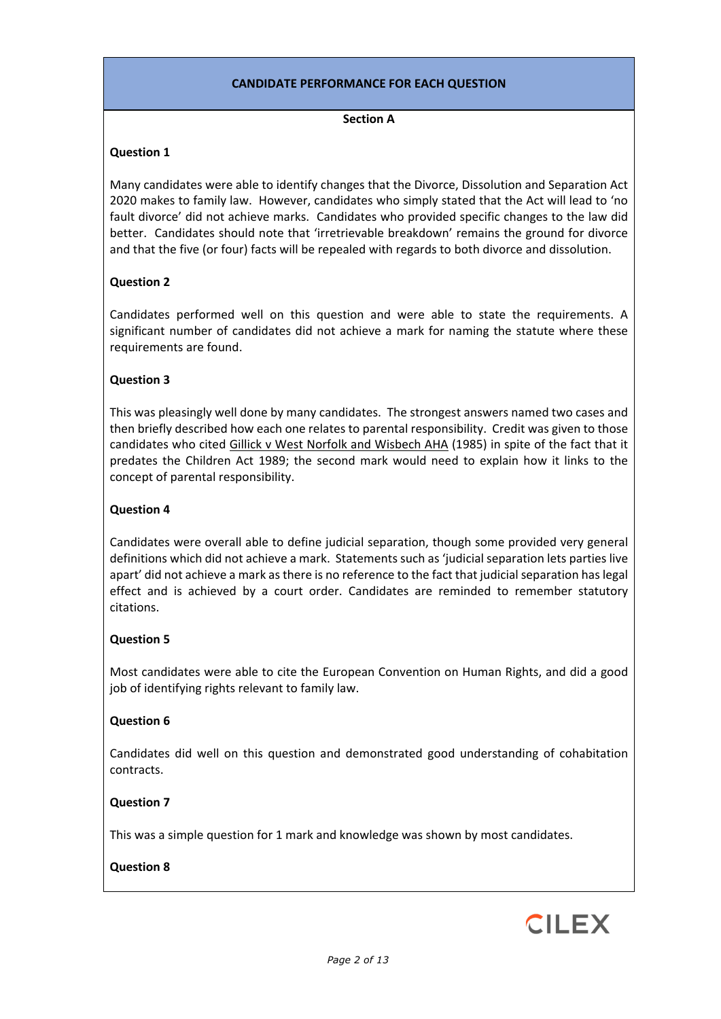### **CANDIDATE PERFORMANCE FOR EACH QUESTION**

#### **Section A**

### **Question 1**

Many candidates were able to identify changes that the Divorce, Dissolution and Separation Act 2020 makes to family law. However, candidates who simply stated that the Act will lead to 'no fault divorce' did not achieve marks. Candidates who provided specific changes to the law did better. Candidates should note that 'irretrievable breakdown' remains the ground for divorce and that the five (or four) facts will be repealed with regards to both divorce and dissolution.

### **Question 2**

Candidates performed well on this question and were able to state the requirements. A significant number of candidates did not achieve a mark for naming the statute where these requirements are found.

### **Question 3**

This was pleasingly well done by many candidates. The strongest answers named two cases and then briefly described how each one relates to parental responsibility. Credit was given to those candidates who cited Gillick v West Norfolk and Wisbech AHA (1985) in spite of the fact that it predates the Children Act 1989; the second mark would need to explain how it links to the concept of parental responsibility.

### **Question 4**

Candidates were overall able to define judicial separation, though some provided very general definitions which did not achieve a mark. Statements such as 'judicial separation lets parties live apart' did not achieve a mark as there is no reference to the fact that judicial separation has legal effect and is achieved by a court order. Candidates are reminded to remember statutory citations.

### **Question 5**

Most candidates were able to cite the European Convention on Human Rights, and did a good job of identifying rights relevant to family law.

### **Question 6**

Candidates did well on this question and demonstrated good understanding of cohabitation contracts.

### **Question 7**

This was a simple question for 1 mark and knowledge was shown by most candidates.

### **Question 8**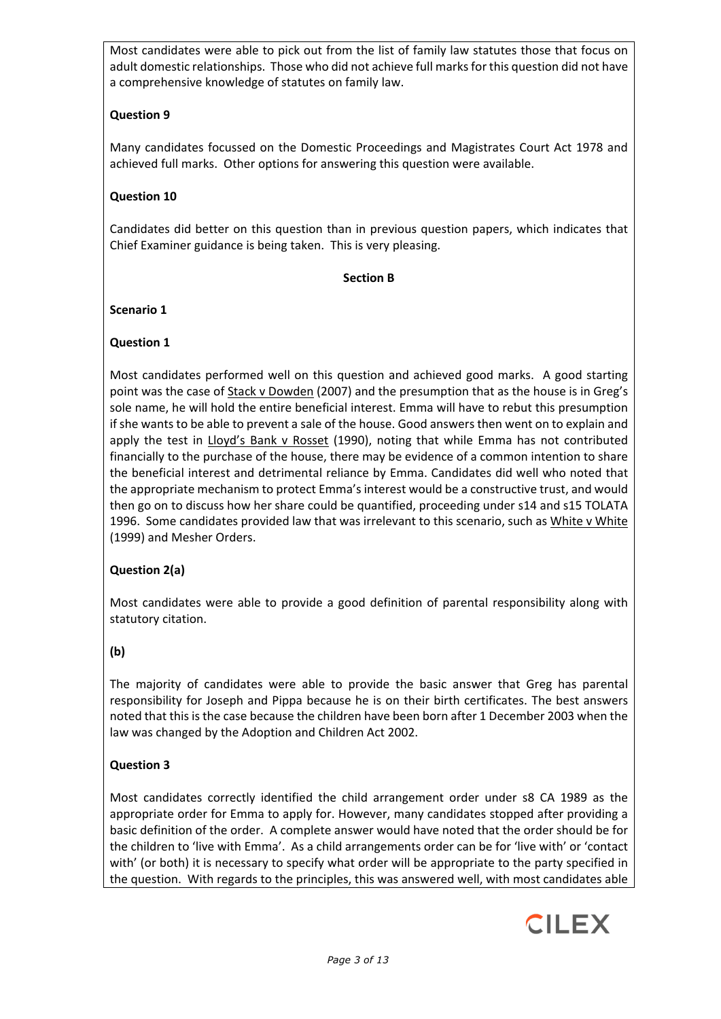Most candidates were able to pick out from the list of family law statutes those that focus on adult domestic relationships. Those who did not achieve full marks for this question did not have a comprehensive knowledge of statutes on family law.

# **Question 9**

Many candidates focussed on the Domestic Proceedings and Magistrates Court Act 1978 and achieved full marks. Other options for answering this question were available.

### **Question 10**

Candidates did better on this question than in previous question papers, which indicates that Chief Examiner guidance is being taken. This is very pleasing.

#### **Section B**

### **Scenario 1**

### **Question 1**

Most candidates performed well on this question and achieved good marks. A good starting point was the case of Stack v Dowden (2007) and the presumption that as the house is in Greg's sole name, he will hold the entire beneficial interest. Emma will have to rebut this presumption if she wants to be able to prevent a sale of the house. Good answers then went on to explain and apply the test in Lloyd's Bank v Rosset (1990), noting that while Emma has not contributed financially to the purchase of the house, there may be evidence of a common intention to share the beneficial interest and detrimental reliance by Emma. Candidates did well who noted that the appropriate mechanism to protect Emma's interest would be a constructive trust, and would then go on to discuss how her share could be quantified, proceeding under s14 and s15 TOLATA 1996. Some candidates provided law that was irrelevant to this scenario, such as White v White (1999) and Mesher Orders.

# **Question 2(a)**

Most candidates were able to provide a good definition of parental responsibility along with statutory citation.

# **(b)**

The majority of candidates were able to provide the basic answer that Greg has parental responsibility for Joseph and Pippa because he is on their birth certificates. The best answers noted that this is the case because the children have been born after 1 December 2003 when the law was changed by the Adoption and Children Act 2002.

### **Question 3**

Most candidates correctly identified the child arrangement order under s8 CA 1989 as the appropriate order for Emma to apply for. However, many candidates stopped after providing a basic definition of the order. A complete answer would have noted that the order should be for the children to 'live with Emma'. As a child arrangements order can be for 'live with' or 'contact with' (or both) it is necessary to specify what order will be appropriate to the party specified in the question. With regards to the principles, this was answered well, with most candidates able

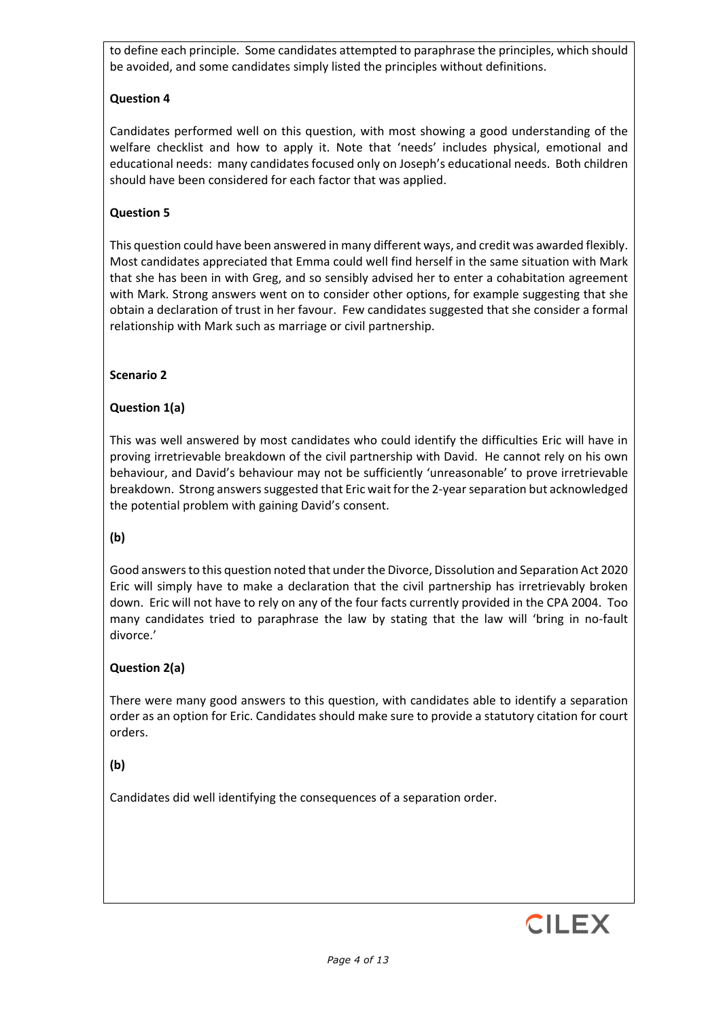to define each principle. Some candidates attempted to paraphrase the principles, which should be avoided, and some candidates simply listed the principles without definitions.

# **Question 4**

Candidates performed well on this question, with most showing a good understanding of the welfare checklist and how to apply it. Note that 'needs' includes physical, emotional and educational needs: many candidates focused only on Joseph's educational needs. Both children should have been considered for each factor that was applied.

## **Question 5**

This question could have been answered in many different ways, and credit was awarded flexibly. Most candidates appreciated that Emma could well find herself in the same situation with Mark that she has been in with Greg, and so sensibly advised her to enter a cohabitation agreement with Mark. Strong answers went on to consider other options, for example suggesting that she obtain a declaration of trust in her favour. Few candidates suggested that she consider a formal relationship with Mark such as marriage or civil partnership.

### **Scenario 2**

# **Question 1(a)**

This was well answered by most candidates who could identify the difficulties Eric will have in proving irretrievable breakdown of the civil partnership with David. He cannot rely on his own behaviour, and David's behaviour may not be sufficiently 'unreasonable' to prove irretrievable breakdown. Strong answers suggested that Eric wait for the 2-year separation but acknowledged the potential problem with gaining David's consent.

### **(b)**

Good answers to this question noted that under the Divorce, Dissolution and Separation Act 2020 Eric will simply have to make a declaration that the civil partnership has irretrievably broken down. Eric will not have to rely on any of the four facts currently provided in the CPA 2004. Too many candidates tried to paraphrase the law by stating that the law will 'bring in no-fault divorce.'

### **Question 2(a)**

There were many good answers to this question, with candidates able to identify a separation order as an option for Eric. Candidates should make sure to provide a statutory citation for court orders.

# **(b)**

Candidates did well identifying the consequences of a separation order.

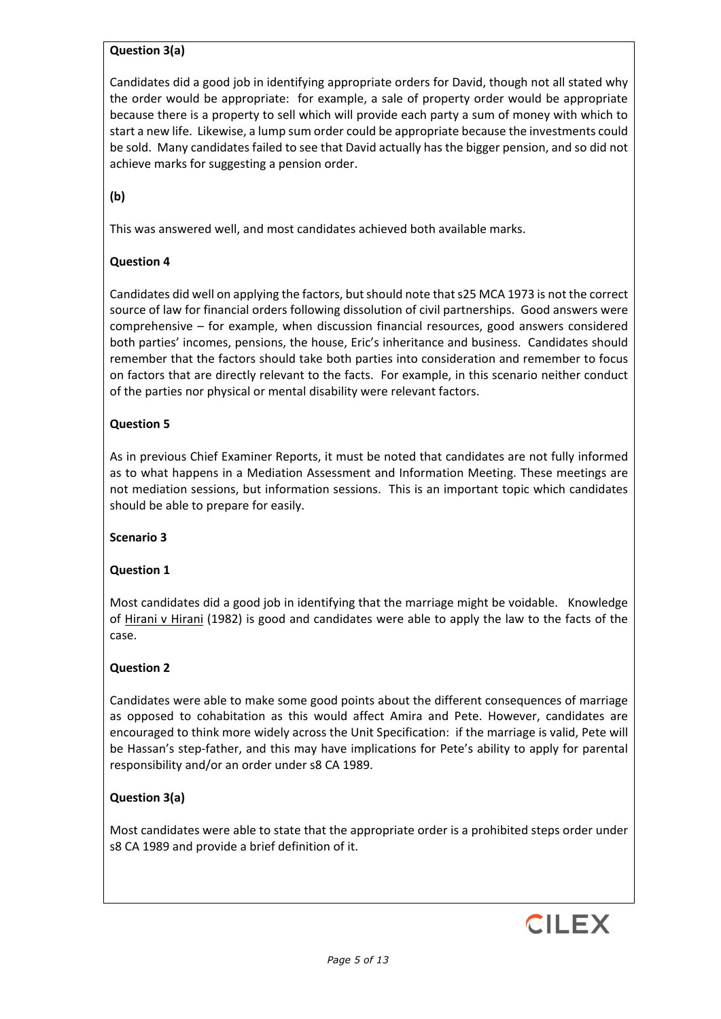### **Question 3(a)**

Candidates did a good job in identifying appropriate orders for David, though not all stated why the order would be appropriate: for example, a sale of property order would be appropriate because there is a property to sell which will provide each party a sum of money with which to start a new life. Likewise, a lump sum order could be appropriate because the investments could be sold. Many candidates failed to see that David actually has the bigger pension, and so did not achieve marks for suggesting a pension order.

**(b)** 

This was answered well, and most candidates achieved both available marks.

### **Question 4**

Candidates did well on applying the factors, but should note that s25 MCA 1973 is not the correct source of law for financial orders following dissolution of civil partnerships. Good answers were comprehensive – for example, when discussion financial resources, good answers considered both parties' incomes, pensions, the house, Eric's inheritance and business. Candidates should remember that the factors should take both parties into consideration and remember to focus on factors that are directly relevant to the facts. For example, in this scenario neither conduct of the parties nor physical or mental disability were relevant factors.

### **Question 5**

As in previous Chief Examiner Reports, it must be noted that candidates are not fully informed as to what happens in a Mediation Assessment and Information Meeting. These meetings are not mediation sessions, but information sessions. This is an important topic which candidates should be able to prepare for easily.

### **Scenario 3**

### **Question 1**

Most candidates did a good job in identifying that the marriage might be voidable. Knowledge of Hirani v Hirani (1982) is good and candidates were able to apply the law to the facts of the case.

### **Question 2**

Candidates were able to make some good points about the different consequences of marriage as opposed to cohabitation as this would affect Amira and Pete. However, candidates are encouraged to think more widely across the Unit Specification: if the marriage is valid, Pete will be Hassan's step-father, and this may have implications for Pete's ability to apply for parental responsibility and/or an order under s8 CA 1989.

### **Question 3(a)**

Most candidates were able to state that the appropriate order is a prohibited steps order under s8 CA 1989 and provide a brief definition of it.

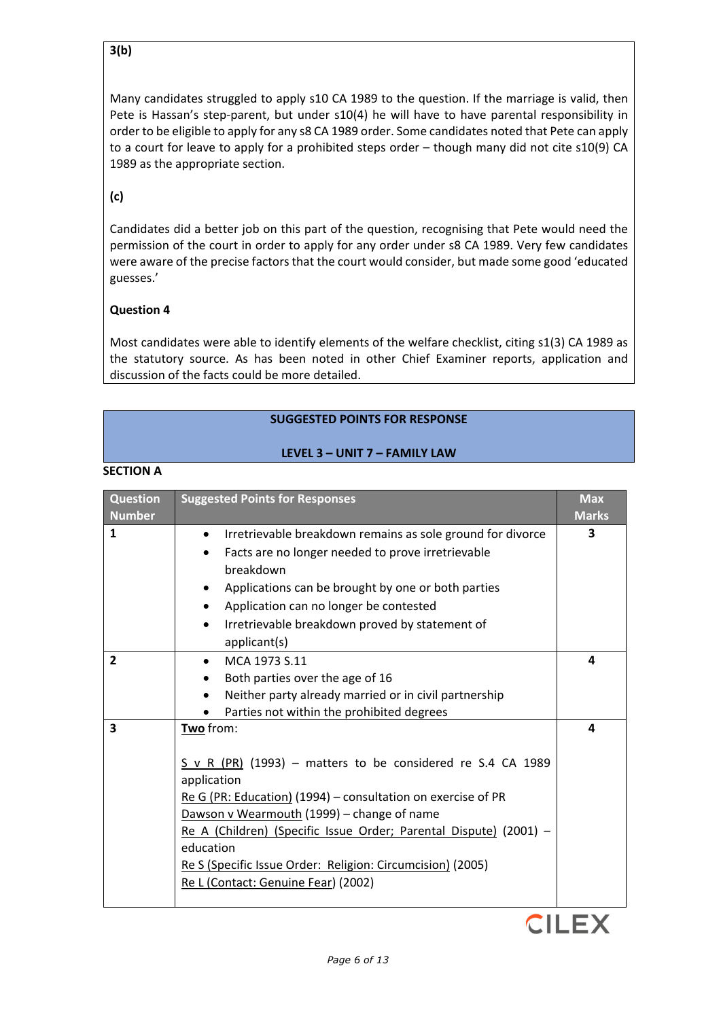### **3(b)**

Many candidates struggled to apply s10 CA 1989 to the question. If the marriage is valid, then Pete is Hassan's step-parent, but under s10(4) he will have to have parental responsibility in order to be eligible to apply for any s8 CA 1989 order. Some candidates noted that Pete can apply to a court for leave to apply for a prohibited steps order – though many did not cite s10(9) CA 1989 as the appropriate section.

# **(c)**

Candidates did a better job on this part of the question, recognising that Pete would need the permission of the court in order to apply for any order under s8 CA 1989. Very few candidates were aware of the precise factors that the court would consider, but made some good 'educated guesses.'

### **Question 4**

Most candidates were able to identify elements of the welfare checklist, citing s1(3) CA 1989 as the statutory source. As has been noted in other Chief Examiner reports, application and discussion of the facts could be more detailed.

### **SUGGESTED POINTS FOR RESPONSE**

#### **LEVEL 3 – UNIT 7 – FAMILY LAW**

| <b>Question</b> | <b>Suggested Points for Responses</b>                                                                                                                                                                                                                                                                                                                                                             | <b>Max</b>   |
|-----------------|---------------------------------------------------------------------------------------------------------------------------------------------------------------------------------------------------------------------------------------------------------------------------------------------------------------------------------------------------------------------------------------------------|--------------|
| <b>Number</b>   |                                                                                                                                                                                                                                                                                                                                                                                                   | <b>Marks</b> |
| $\mathbf{1}$    | Irretrievable breakdown remains as sole ground for divorce<br>Facts are no longer needed to prove irretrievable<br>$\bullet$<br>breakdown<br>Applications can be brought by one or both parties<br>٠<br>Application can no longer be contested<br>$\bullet$<br>Irretrievable breakdown proved by statement of<br>٠<br>applicant(s)                                                                | 3            |
| $\overline{2}$  | MCA 1973 S.11<br>Both parties over the age of 16<br>Neither party already married or in civil partnership<br>Parties not within the prohibited degrees                                                                                                                                                                                                                                            | 4            |
| 3               | Two from:<br>$S \vee R$ (PR) (1993) – matters to be considered re S.4 CA 1989<br>application<br>Re G (PR: Education) (1994) – consultation on exercise of PR<br>Dawson v Wearmouth (1999) - change of name<br>Re A (Children) (Specific Issue Order; Parental Dispute) (2001) -<br>education<br>Re S (Specific Issue Order: Religion: Circumcision) (2005)<br>Re L (Contact: Genuine Fear) (2002) | 4            |

#### **SECTION A**

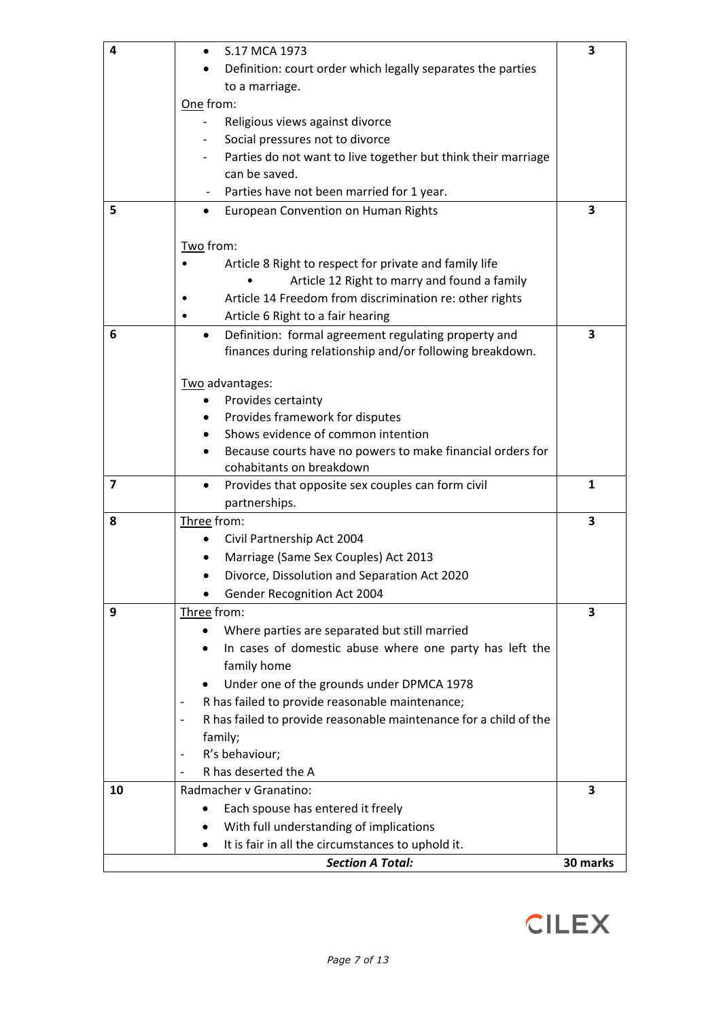| 4                       | S.17 MCA 1973                                                                                       | 3            |
|-------------------------|-----------------------------------------------------------------------------------------------------|--------------|
|                         | Definition: court order which legally separates the parties                                         |              |
|                         | to a marriage.                                                                                      |              |
|                         | One from:                                                                                           |              |
|                         | Religious views against divorce                                                                     |              |
|                         | Social pressures not to divorce                                                                     |              |
|                         | Parties do not want to live together but think their marriage                                       |              |
|                         | can be saved.                                                                                       |              |
|                         | Parties have not been married for 1 year.                                                           |              |
| 5                       | European Convention on Human Rights<br>٠                                                            | 3            |
|                         |                                                                                                     |              |
|                         | Two from:                                                                                           |              |
|                         | Article 8 Right to respect for private and family life                                              |              |
|                         | Article 12 Right to marry and found a family                                                        |              |
|                         | Article 14 Freedom from discrimination re: other rights                                             |              |
|                         | Article 6 Right to a fair hearing                                                                   |              |
| 6                       | Definition: formal agreement regulating property and<br>$\bullet$                                   | 3            |
|                         | finances during relationship and/or following breakdown.                                            |              |
|                         |                                                                                                     |              |
|                         | Two advantages:                                                                                     |              |
|                         | Provides certainty<br>$\bullet$                                                                     |              |
|                         | Provides framework for disputes                                                                     |              |
|                         | Shows evidence of common intention                                                                  |              |
|                         | Because courts have no powers to make financial orders for<br>$\bullet$<br>cohabitants on breakdown |              |
| $\overline{\mathbf{z}}$ | Provides that opposite sex couples can form civil<br>٠                                              | $\mathbf{1}$ |
|                         | partnerships.                                                                                       |              |
| 8                       | Three from:                                                                                         | 3            |
|                         | Civil Partnership Act 2004                                                                          |              |
|                         | Marriage (Same Sex Couples) Act 2013                                                                |              |
|                         | Divorce, Dissolution and Separation Act 2020                                                        |              |
|                         | Gender Recognition Act 2004                                                                         |              |
| 9                       | Three from:                                                                                         | 3            |
|                         | Where parties are separated but still married                                                       |              |
|                         | In cases of domestic abuse where one party has left the                                             |              |
|                         | family home                                                                                         |              |
|                         | Under one of the grounds under DPMCA 1978                                                           |              |
|                         | R has failed to provide reasonable maintenance;<br>$\overline{\phantom{a}}$                         |              |
|                         | R has failed to provide reasonable maintenance for a child of the                                   |              |
|                         | family;                                                                                             |              |
|                         | R's behaviour;                                                                                      |              |
|                         | R has deserted the A                                                                                |              |
| 10                      | Radmacher v Granatino:                                                                              | 3            |
|                         | Each spouse has entered it freely                                                                   |              |
|                         | With full understanding of implications                                                             |              |
|                         | It is fair in all the circumstances to uphold it.                                                   |              |
|                         | <b>Section A Total:</b>                                                                             | 30 marks     |
|                         |                                                                                                     |              |

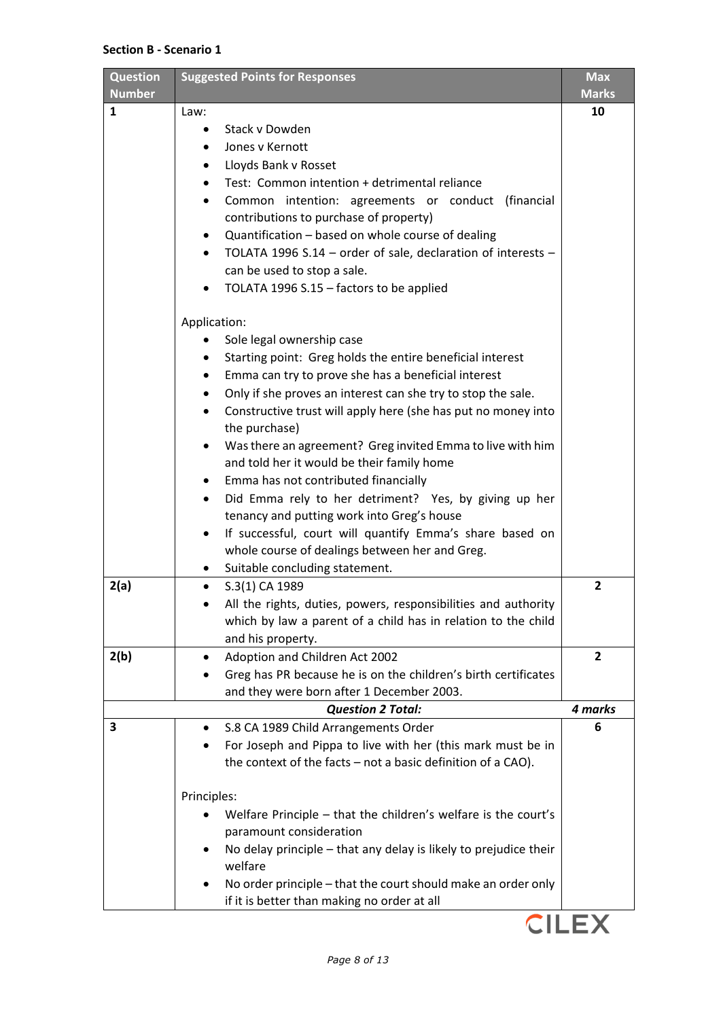#### **Section B - Scenario 1**

| Question<br><b>Number</b> | <b>Suggested Points for Responses</b>                                                     | <b>Max</b><br><b>Marks</b> |
|---------------------------|-------------------------------------------------------------------------------------------|----------------------------|
| $\mathbf{1}$              | Law:                                                                                      | 10                         |
|                           | Stack v Dowden                                                                            |                            |
|                           | Jones v Kernott                                                                           |                            |
|                           | Lloyds Bank v Rosset                                                                      |                            |
|                           | Test: Common intention + detrimental reliance                                             |                            |
|                           | Common intention: agreements or conduct (financial                                        |                            |
|                           | contributions to purchase of property)                                                    |                            |
|                           | Quantification - based on whole course of dealing                                         |                            |
|                           | TOLATA 1996 S.14 - order of sale, declaration of interests -                              |                            |
|                           | can be used to stop a sale.                                                               |                            |
|                           | TOLATA 1996 S.15 - factors to be applied                                                  |                            |
|                           | Application:                                                                              |                            |
|                           | Sole legal ownership case                                                                 |                            |
|                           | Starting point: Greg holds the entire beneficial interest                                 |                            |
|                           | Emma can try to prove she has a beneficial interest                                       |                            |
|                           | Only if she proves an interest can she try to stop the sale.                              |                            |
|                           | Constructive trust will apply here (she has put no money into<br>$\bullet$                |                            |
|                           | the purchase)                                                                             |                            |
|                           | Was there an agreement? Greg invited Emma to live with him                                |                            |
|                           | and told her it would be their family home                                                |                            |
|                           | Emma has not contributed financially                                                      |                            |
|                           | Did Emma rely to her detriment? Yes, by giving up her<br>$\bullet$                        |                            |
|                           | tenancy and putting work into Greg's house                                                |                            |
|                           | If successful, court will quantify Emma's share based on<br>٠                             |                            |
|                           | whole course of dealings between her and Greg.                                            |                            |
|                           | Suitable concluding statement.                                                            |                            |
| 2(a)                      | S.3(1) CA 1989                                                                            | $\overline{2}$             |
|                           | All the rights, duties, powers, responsibilities and authority                            |                            |
|                           | which by law a parent of a child has in relation to the child                             |                            |
|                           | and his property.                                                                         |                            |
| 2(b)                      | Adoption and Children Act 2002                                                            | $\overline{2}$             |
|                           | Greg has PR because he is on the children's birth certificates                            |                            |
|                           | and they were born after 1 December 2003.                                                 |                            |
|                           | <b>Question 2 Total:</b>                                                                  | 4 marks                    |
| 3                         | S.8 CA 1989 Child Arrangements Order                                                      | 6                          |
|                           | For Joseph and Pippa to live with her (this mark must be in<br>٠                          |                            |
|                           | the context of the facts - not a basic definition of a CAO).                              |                            |
|                           | Principles:                                                                               |                            |
|                           | Welfare Principle - that the children's welfare is the court's<br>paramount consideration |                            |
|                           | No delay principle - that any delay is likely to prejudice their                          |                            |
|                           | welfare                                                                                   |                            |
|                           | No order principle - that the court should make an order only                             |                            |
|                           | if it is better than making no order at all                                               |                            |
|                           |                                                                                           |                            |

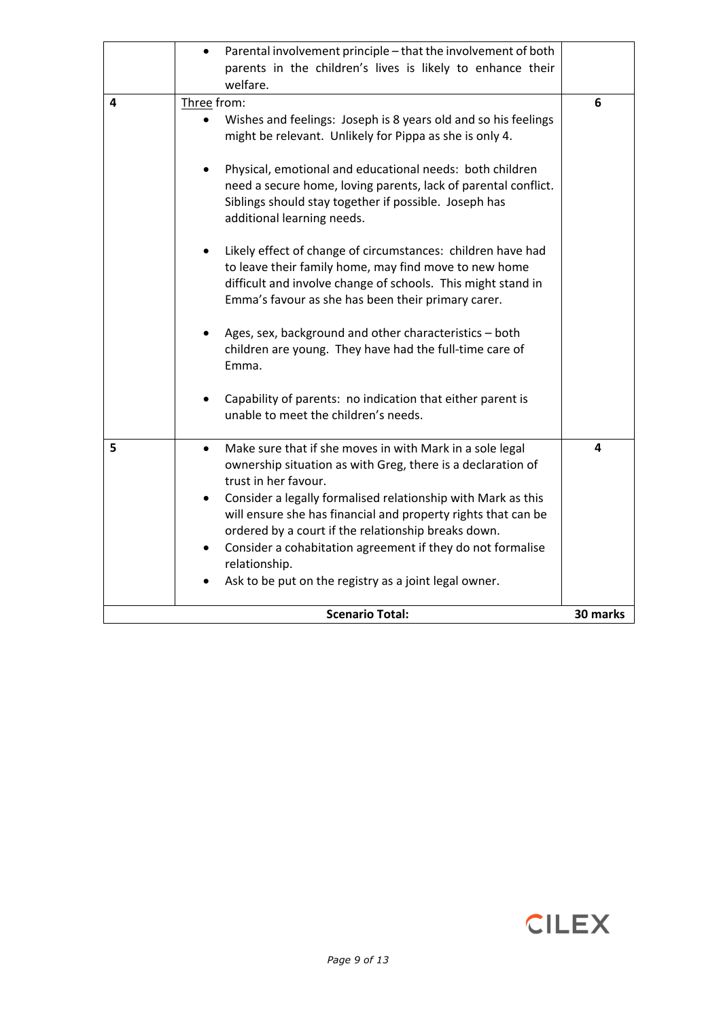| Three from:<br>4<br>Wishes and feelings: Joseph is 8 years old and so his feelings<br>might be relevant. Unlikely for Pippa as she is only 4.<br>Physical, emotional and educational needs: both children<br>need a secure home, loving parents, lack of parental conflict.<br>Siblings should stay together if possible. Joseph has<br>additional learning needs.<br>Likely effect of change of circumstances: children have had<br>to leave their family home, may find move to new home                                               |               |
|------------------------------------------------------------------------------------------------------------------------------------------------------------------------------------------------------------------------------------------------------------------------------------------------------------------------------------------------------------------------------------------------------------------------------------------------------------------------------------------------------------------------------------------|---------------|
| difficult and involve change of schools. This might stand in<br>Emma's favour as she has been their primary carer.<br>Ages, sex, background and other characteristics - both<br>children are young. They have had the full-time care of<br>Emma.<br>Capability of parents: no indication that either parent is<br>unable to meet the children's needs.                                                                                                                                                                                   | 6             |
| 5<br>Make sure that if she moves in with Mark in a sole legal<br>$\bullet$<br>ownership situation as with Greg, there is a declaration of<br>trust in her favour.<br>Consider a legally formalised relationship with Mark as this<br>$\bullet$<br>will ensure she has financial and property rights that can be<br>ordered by a court if the relationship breaks down.<br>Consider a cohabitation agreement if they do not formalise<br>relationship.<br>Ask to be put on the registry as a joint legal owner.<br><b>Scenario Total:</b> | 4<br>30 marks |

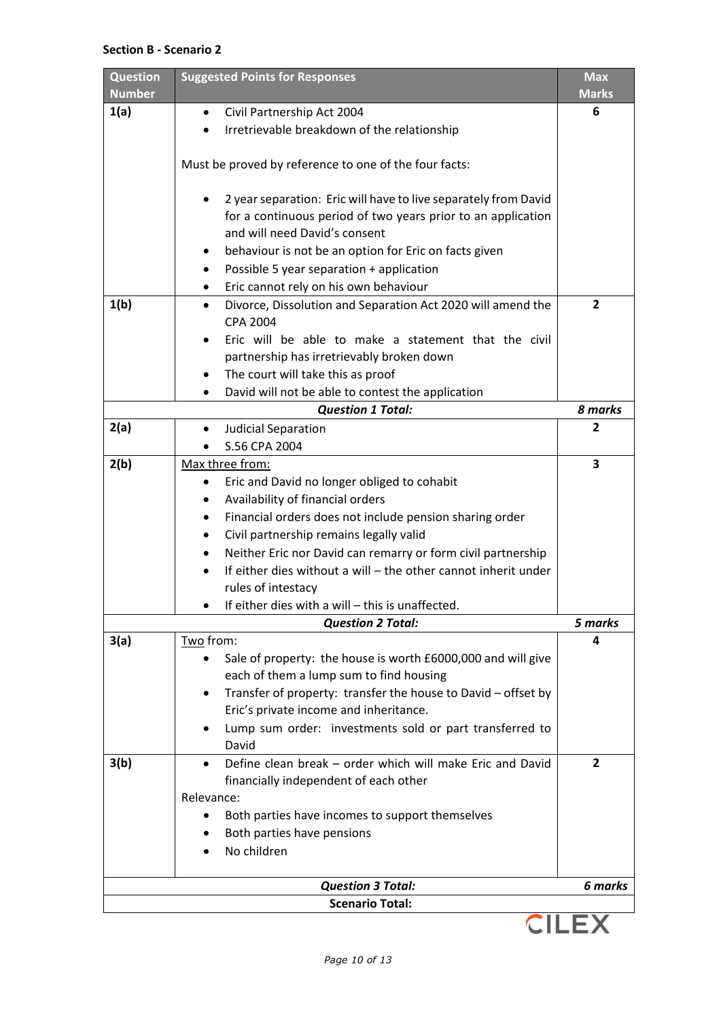#### **Section B - Scenario 2**

| <b>Question</b><br><b>Number</b> | <b>Suggested Points for Responses</b>                                                         | <b>Max</b><br><b>Marks</b> |
|----------------------------------|-----------------------------------------------------------------------------------------------|----------------------------|
| 1(a)                             | Civil Partnership Act 2004<br>$\bullet$                                                       | 6                          |
|                                  | Irretrievable breakdown of the relationship                                                   |                            |
|                                  |                                                                                               |                            |
|                                  | Must be proved by reference to one of the four facts:                                         |                            |
|                                  |                                                                                               |                            |
|                                  | 2 year separation: Eric will have to live separately from David                               |                            |
|                                  | for a continuous period of two years prior to an application<br>and will need David's consent |                            |
|                                  | behaviour is not be an option for Eric on facts given                                         |                            |
|                                  | Possible 5 year separation + application<br>٠                                                 |                            |
|                                  | Eric cannot rely on his own behaviour<br>٠                                                    |                            |
| 1(b)                             | Divorce, Dissolution and Separation Act 2020 will amend the<br>$\bullet$                      | $\overline{2}$             |
|                                  | <b>CPA 2004</b>                                                                               |                            |
|                                  | Eric will be able to make a statement that the civil                                          |                            |
|                                  | partnership has irretrievably broken down                                                     |                            |
|                                  | The court will take this as proof                                                             |                            |
|                                  | David will not be able to contest the application                                             |                            |
|                                  | <b>Question 1 Total:</b>                                                                      | 8 marks                    |
| 2(a)                             | Judicial Separation                                                                           | 2                          |
|                                  | S.56 CPA 2004                                                                                 |                            |
| 2(b)                             | Max three from:                                                                               | 3                          |
|                                  | Eric and David no longer obliged to cohabit<br>٠                                              |                            |
|                                  | Availability of financial orders                                                              |                            |
|                                  | Financial orders does not include pension sharing order<br>٠                                  |                            |
|                                  | Civil partnership remains legally valid                                                       |                            |
|                                  | Neither Eric nor David can remarry or form civil partnership                                  |                            |
|                                  | If either dies without a will - the other cannot inherit under                                |                            |
|                                  | rules of intestacy                                                                            |                            |
|                                  | If either dies with a will - this is unaffected<br><b>Question 2 Total:</b>                   | 5 marks                    |
| 3(a)                             | Two from:                                                                                     | 4                          |
|                                  | Sale of property: the house is worth £6000,000 and will give                                  |                            |
|                                  | each of them a lump sum to find housing                                                       |                            |
|                                  | Transfer of property: transfer the house to David - offset by                                 |                            |
|                                  | Eric's private income and inheritance.                                                        |                            |
|                                  | Lump sum order: investments sold or part transferred to                                       |                            |
|                                  | David                                                                                         |                            |
| 3(b)                             | Define clean break – order which will make Eric and David                                     | 2                          |
|                                  | financially independent of each other                                                         |                            |
|                                  | Relevance:                                                                                    |                            |
|                                  | Both parties have incomes to support themselves                                               |                            |
|                                  | Both parties have pensions                                                                    |                            |
|                                  | No children                                                                                   |                            |
|                                  |                                                                                               |                            |
|                                  | <b>Question 3 Total:</b>                                                                      | 6 marks                    |
|                                  | <b>Scenario Total:</b>                                                                        |                            |

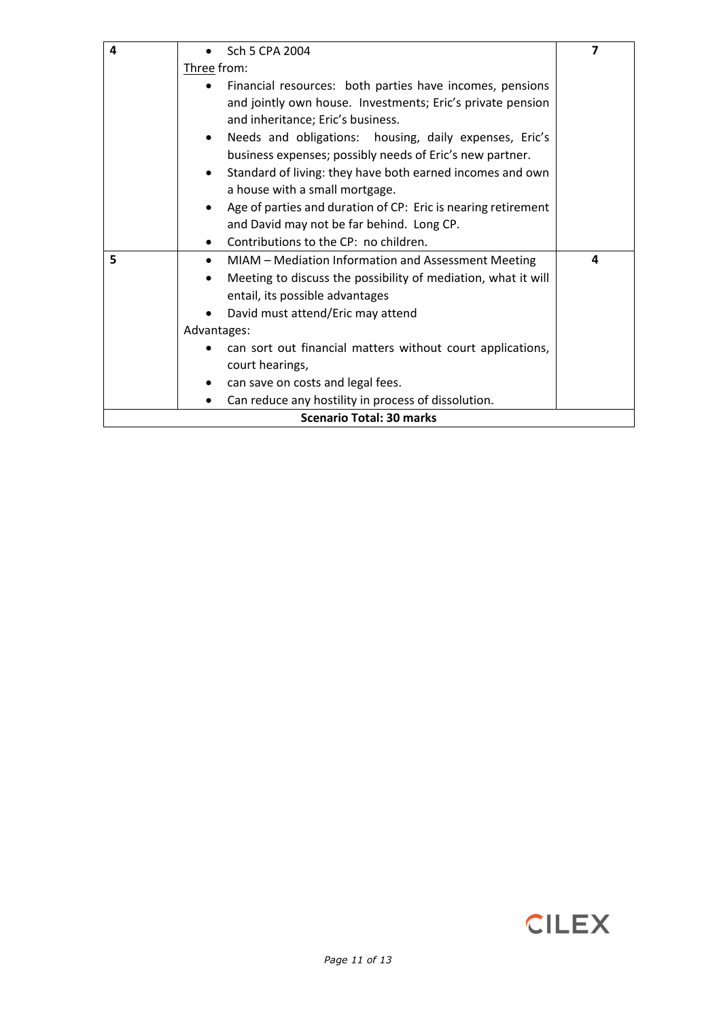| 4 | Sch 5 CPA 2004                                                   | 7 |
|---|------------------------------------------------------------------|---|
|   | Three from:                                                      |   |
|   | Financial resources: both parties have incomes, pensions         |   |
|   | and jointly own house. Investments; Eric's private pension       |   |
|   | and inheritance; Eric's business.                                |   |
|   | Needs and obligations: housing, daily expenses, Eric's           |   |
|   | business expenses; possibly needs of Eric's new partner.         |   |
|   | Standard of living: they have both earned incomes and own        |   |
|   | a house with a small mortgage.                                   |   |
|   | Age of parties and duration of CP: Eric is nearing retirement    |   |
|   | and David may not be far behind. Long CP.                        |   |
|   | Contributions to the CP: no children.                            |   |
| 5 | MIAM - Mediation Information and Assessment Meeting<br>$\bullet$ | 4 |
|   | Meeting to discuss the possibility of mediation, what it will    |   |
|   | entail, its possible advantages                                  |   |
|   | David must attend/Eric may attend<br>$\bullet$                   |   |
|   | Advantages:                                                      |   |
|   | can sort out financial matters without court applications,       |   |
|   | court hearings,                                                  |   |
|   | can save on costs and legal fees.                                |   |
|   | Can reduce any hostility in process of dissolution.              |   |
|   | <b>Scenario Total: 30 marks</b>                                  |   |

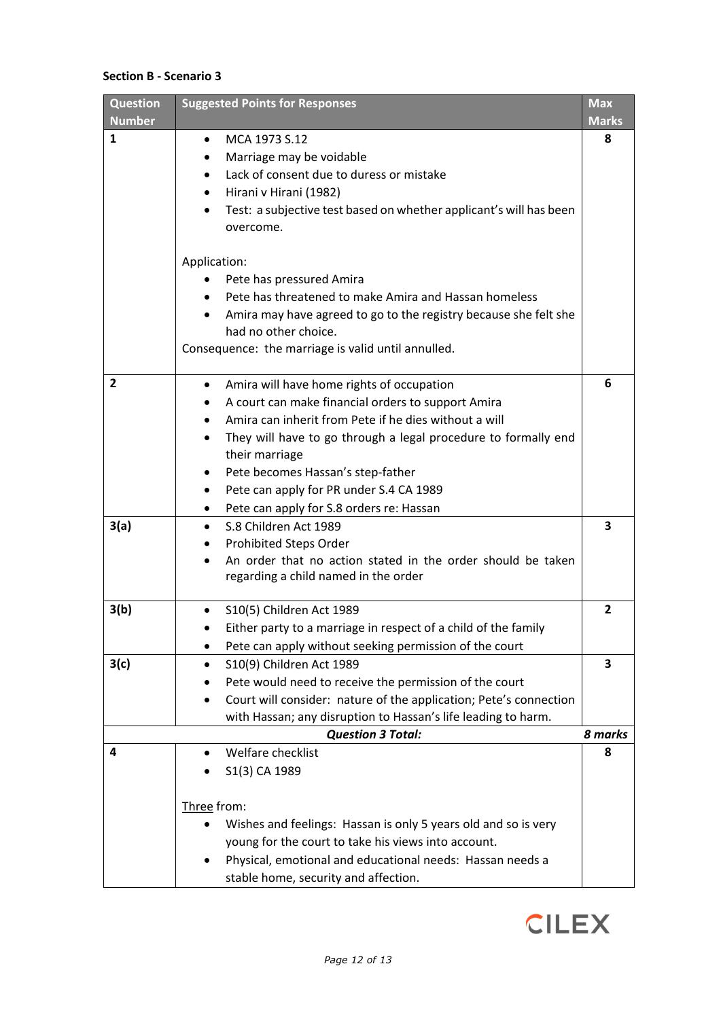### **Section B - Scenario 3**

| <b>Question</b> | <b>Suggested Points for Responses</b>                                          | <b>Max</b>     |
|-----------------|--------------------------------------------------------------------------------|----------------|
| <b>Number</b>   |                                                                                | <b>Marks</b>   |
| 1               | MCA 1973 S.12<br>$\bullet$                                                     | 8              |
|                 | Marriage may be voidable                                                       |                |
|                 | Lack of consent due to duress or mistake                                       |                |
|                 | Hirani v Hirani (1982)                                                         |                |
|                 | Test: a subjective test based on whether applicant's will has been             |                |
|                 | overcome.                                                                      |                |
|                 | Application:                                                                   |                |
|                 | Pete has pressured Amira                                                       |                |
|                 | Pete has threatened to make Amira and Hassan homeless                          |                |
|                 | Amira may have agreed to go to the registry because she felt she               |                |
|                 | had no other choice.                                                           |                |
|                 | Consequence: the marriage is valid until annulled.                             |                |
| $\overline{2}$  | Amira will have home rights of occupation<br>$\bullet$                         | 6              |
|                 | A court can make financial orders to support Amira                             |                |
|                 | Amira can inherit from Pete if he dies without a will                          |                |
|                 | They will have to go through a legal procedure to formally end                 |                |
|                 | their marriage                                                                 |                |
|                 | Pete becomes Hassan's step-father                                              |                |
|                 | Pete can apply for PR under S.4 CA 1989                                        |                |
|                 | Pete can apply for S.8 orders re: Hassan<br>$\bullet$                          |                |
| 3(a)            | S.8 Children Act 1989<br>$\bullet$                                             | 3              |
|                 | Prohibited Steps Order                                                         |                |
|                 | An order that no action stated in the order should be taken                    |                |
|                 | regarding a child named in the order                                           |                |
|                 |                                                                                |                |
| 3(b)            | S10(5) Children Act 1989                                                       | $\overline{2}$ |
|                 | Either party to a marriage in respect of a child of the family                 |                |
|                 | Pete can apply without seeking permission of the court                         |                |
| 3(c)            | S10(9) Children Act 1989                                                       | 3              |
|                 | Pete would need to receive the permission of the court                         |                |
|                 | Court will consider: nature of the application; Pete's connection<br>$\bullet$ |                |
|                 | with Hassan; any disruption to Hassan's life leading to harm.                  |                |
|                 | <b>Question 3 Total:</b>                                                       | 8 marks        |
| 4               | Welfare checklist                                                              | 8              |
|                 | S1(3) CA 1989                                                                  |                |
|                 | Three from:                                                                    |                |
|                 | Wishes and feelings: Hassan is only 5 years old and so is very                 |                |
|                 | young for the court to take his views into account.                            |                |
|                 | Physical, emotional and educational needs: Hassan needs a                      |                |
|                 | stable home, security and affection.                                           |                |
|                 |                                                                                |                |